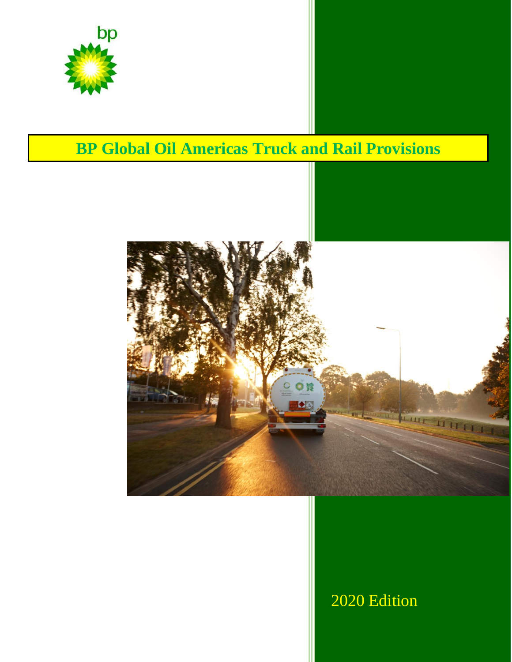

# **BP Global Oil Americas Truck and Rail Provisions**



# 2020 Edition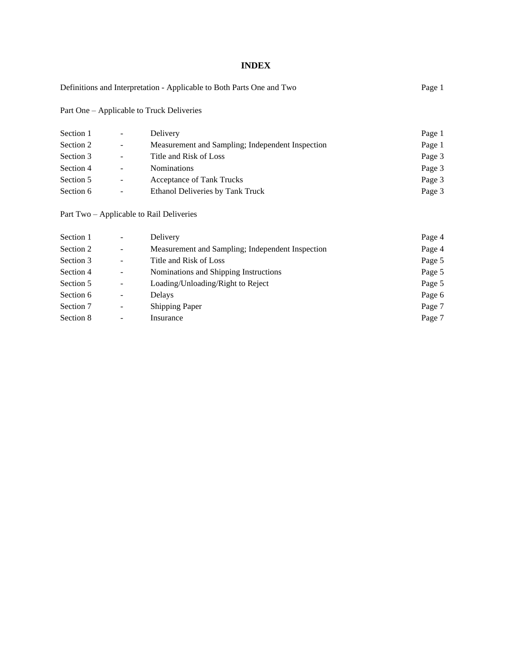# **INDEX**

| Definitions and Interpretation - Applicable to Both Parts One and Two | Page 1 |
|-----------------------------------------------------------------------|--------|
|-----------------------------------------------------------------------|--------|

Part One – Applicable to Truck Deliveries

| Section 1 | ۰.                       | Delivery                                         | Page 1 |
|-----------|--------------------------|--------------------------------------------------|--------|
| Section 2 | $\overline{\phantom{a}}$ | Measurement and Sampling; Independent Inspection | Page 1 |
| Section 3 | $\overline{\phantom{a}}$ | Title and Risk of Loss                           | Page 3 |
| Section 4 | $\overline{\phantom{a}}$ | <b>Nominations</b>                               | Page 3 |
| Section 5 | $\sim$                   | Acceptance of Tank Trucks                        | Page 3 |
| Section 6 | $\blacksquare$           | Ethanol Deliveries by Tank Truck                 | Page 3 |

Part Two – Applicable to Rail Deliveries

| Section 1 | $\overline{\phantom{m}}$ | Delivery                                         | Page 4 |
|-----------|--------------------------|--------------------------------------------------|--------|
| Section 2 | $\overline{\phantom{a}}$ | Measurement and Sampling; Independent Inspection | Page 4 |
| Section 3 |                          | Title and Risk of Loss                           | Page 5 |
| Section 4 | $\overline{\phantom{a}}$ | Nominations and Shipping Instructions            | Page 5 |
| Section 5 | $\overline{\phantom{m}}$ | Loading/Unloading/Right to Reject                | Page 5 |
| Section 6 | $\overline{\phantom{a}}$ | <b>Delays</b>                                    | Page 6 |
| Section 7 | -                        | <b>Shipping Paper</b>                            | Page 7 |
| Section 8 | -                        | Insurance                                        | Page 7 |
|           |                          |                                                  |        |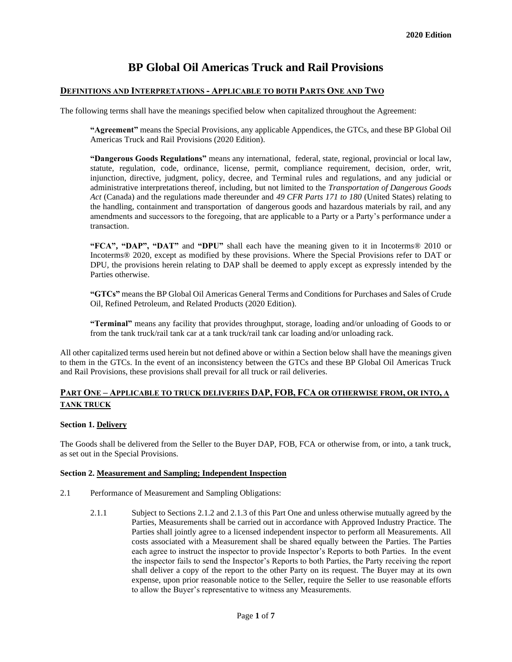# **BP Global Oil Americas Truck and Rail Provisions**

# **DEFINITIONS AND INTERPRETATIONS - APPLICABLE TO BOTH PARTS ONE AND TWO**

The following terms shall have the meanings specified below when capitalized throughout the Agreement:

**"Agreement"** means the Special Provisions, any applicable Appendices, the GTCs, and these BP Global Oil Americas Truck and Rail Provisions (2020 Edition).

**"Dangerous Goods Regulations"** means any international, federal, state, regional, provincial or local law, statute, regulation, code, ordinance, license, permit, compliance requirement, decision, order, writ, injunction, directive, judgment, policy, decree, and Terminal rules and regulations, and any judicial or administrative interpretations thereof, including, but not limited to the *Transportation of Dangerous Goods Act* (Canada) and the regulations made thereunder and *49 CFR Parts 171 to 180* (United States) relating to the handling, containment and transportation of dangerous goods and hazardous materials by rail, and any amendments and successors to the foregoing, that are applicable to a Party or a Party's performance under a transaction.

**"FCA", "DAP", "DAT"** and **"DPU"** shall each have the meaning given to it in Incoterms® 2010 or Incoterms® 2020, except as modified by these provisions. Where the Special Provisions refer to DAT or DPU, the provisions herein relating to DAP shall be deemed to apply except as expressly intended by the Parties otherwise.

**"GTCs"** means the BP Global Oil Americas General Terms and Conditions for Purchases and Sales of Crude Oil, Refined Petroleum, and Related Products (2020 Edition).

**"Terminal"** means any facility that provides throughput, storage, loading and/or unloading of Goods to or from the tank truck/rail tank car at a tank truck/rail tank car loading and/or unloading rack.

All other capitalized terms used herein but not defined above or within a Section below shall have the meanings given to them in the GTCs. In the event of an inconsistency between the GTCs and these BP Global Oil Americas Truck and Rail Provisions, these provisions shall prevail for all truck or rail deliveries.

# **PART ONE – APPLICABLE TO TRUCK DELIVERIES DAP, FOB, FCA OR OTHERWISE FROM, OR INTO, A TANK TRUCK**

# **Section 1. Delivery**

The Goods shall be delivered from the Seller to the Buyer DAP, FOB, FCA or otherwise from, or into, a tank truck, as set out in the Special Provisions.

# **Section 2. Measurement and Sampling; Independent Inspection**

- 2.1 Performance of Measurement and Sampling Obligations:
	- 2.1.1 Subject to Sections 2.1.2 and 2.1.3 of this Part One and unless otherwise mutually agreed by the Parties, Measurements shall be carried out in accordance with Approved Industry Practice. The Parties shall jointly agree to a licensed independent inspector to perform all Measurements. All costs associated with a Measurement shall be shared equally between the Parties. The Parties each agree to instruct the inspector to provide Inspector's Reports to both Parties. In the event the inspector fails to send the Inspector's Reports to both Parties, the Party receiving the report shall deliver a copy of the report to the other Party on its request. The Buyer may at its own expense, upon prior reasonable notice to the Seller, require the Seller to use reasonable efforts to allow the Buyer's representative to witness any Measurements.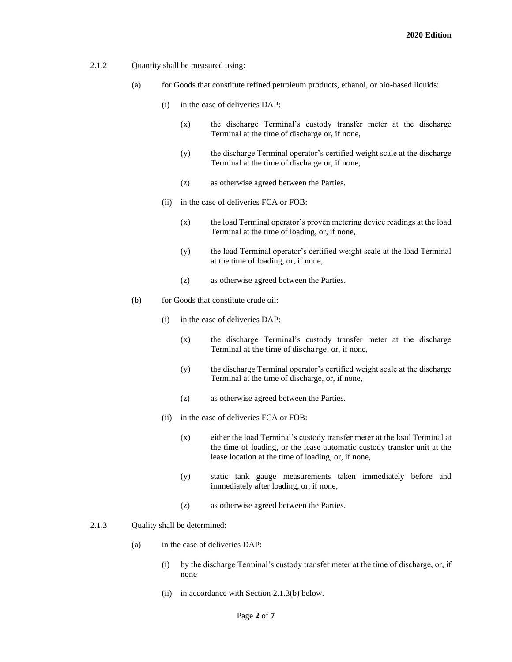- 2.1.2 Quantity shall be measured using:
	- (a) for Goods that constitute refined petroleum products, ethanol, or bio-based liquids:
		- (i) in the case of deliveries DAP:
			- (x) the discharge Terminal's custody transfer meter at the discharge Terminal at the time of discharge or, if none,
			- (y) the discharge Terminal operator's certified weight scale at the discharge Terminal at the time of discharge or, if none,
			- (z) as otherwise agreed between the Parties.
		- (ii) in the case of deliveries FCA or FOB:
			- (x) the load Terminal operator's proven metering device readings at the load Terminal at the time of loading, or, if none,
			- (y) the load Terminal operator's certified weight scale at the load Terminal at the time of loading, or, if none,
			- (z) as otherwise agreed between the Parties.
	- (b) for Goods that constitute crude oil:
		- (i) in the case of deliveries DAP:
			- (x) the discharge Terminal's custody transfer meter at the discharge Terminal at the time of discharge, or, if none,
			- (y) the discharge Terminal operator's certified weight scale at the discharge Terminal at the time of discharge, or, if none,
			- (z) as otherwise agreed between the Parties.
		- (ii) in the case of deliveries FCA or FOB:
			- (x) either the load Terminal's custody transfer meter at the load Terminal at the time of loading, or the lease automatic custody transfer unit at the lease location at the time of loading, or, if none,
			- (y) static tank gauge measurements taken immediately before and immediately after loading, or, if none,
			- (z) as otherwise agreed between the Parties.
- 2.1.3 Quality shall be determined:
	- (a) in the case of deliveries DAP:
		- (i) by the discharge Terminal's custody transfer meter at the time of discharge, or, if none
		- (ii) in accordance with Section 2.1.3(b) below.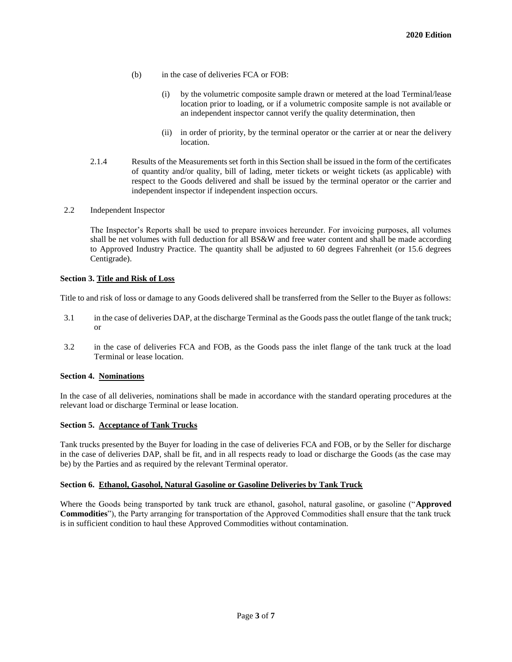- (b) in the case of deliveries FCA or FOB:
	- (i) by the volumetric composite sample drawn or metered at the load Terminal/lease location prior to loading, or if a volumetric composite sample is not available or an independent inspector cannot verify the quality determination, then
	- (ii) in order of priority, by the terminal operator or the carrier at or near the delivery location.
- 2.1.4 Results of the Measurements set forth in this Section shall be issued in the form of the certificates of quantity and/or quality, bill of lading, meter tickets or weight tickets (as applicable) with respect to the Goods delivered and shall be issued by the terminal operator or the carrier and independent inspector if independent inspection occurs.
- 2.2 Independent Inspector

The Inspector's Reports shall be used to prepare invoices hereunder. For invoicing purposes, all volumes shall be net volumes with full deduction for all BS&W and free water content and shall be made according to Approved Industry Practice. The quantity shall be adjusted to 60 degrees Fahrenheit (or 15.6 degrees Centigrade).

#### **Section 3. Title and Risk of Loss**

Title to and risk of loss or damage to any Goods delivered shall be transferred from the Seller to the Buyer as follows:

- 3.1 in the case of deliveries DAP, at the discharge Terminal as the Goods pass the outlet flange of the tank truck; or
- 3.2 in the case of deliveries FCA and FOB, as the Goods pass the inlet flange of the tank truck at the load Terminal or lease location.

# **Section 4. Nominations**

In the case of all deliveries, nominations shall be made in accordance with the standard operating procedures at the relevant load or discharge Terminal or lease location.

#### **Section 5. Acceptance of Tank Trucks**

Tank trucks presented by the Buyer for loading in the case of deliveries FCA and FOB, or by the Seller for discharge in the case of deliveries DAP, shall be fit, and in all respects ready to load or discharge the Goods (as the case may be) by the Parties and as required by the relevant Terminal operator.

#### **Section 6. Ethanol, Gasohol, Natural Gasoline or Gasoline Deliveries by Tank Truck**

Where the Goods being transported by tank truck are ethanol, gasohol, natural gasoline, or gasoline ("**Approved Commodities**"), the Party arranging for transportation of the Approved Commodities shall ensure that the tank truck is in sufficient condition to haul these Approved Commodities without contamination.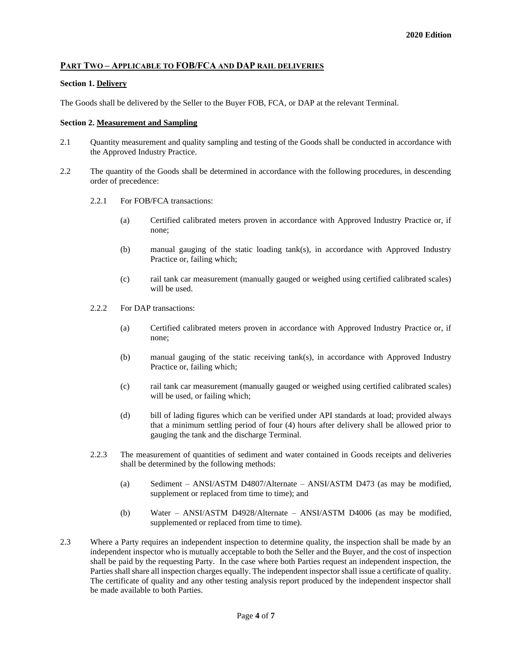# **PART TWO – APPLICABLE TO FOB/FCA AND DAP RAIL DELIVERIES**

### **Section 1. Delivery**

The Goods shall be delivered by the Seller to the Buyer FOB, FCA, or DAP at the relevant Terminal.

#### **Section 2. Measurement and Sampling**

- 2.1 Quantity measurement and quality sampling and testing of the Goods shall be conducted in accordance with the Approved Industry Practice.
- 2.2 The quantity of the Goods shall be determined in accordance with the following procedures, in descending order of precedence:
	- 2.2.1 For FOB/FCA transactions:
		- (a) Certified calibrated meters proven in accordance with Approved Industry Practice or, if none;
		- (b) manual gauging of the static loading tank(s), in accordance with Approved Industry Practice or, failing which;
		- (c) rail tank car measurement (manually gauged or weighed using certified calibrated scales) will be used.
	- 2.2.2 For DAP transactions:
		- (a) Certified calibrated meters proven in accordance with Approved Industry Practice or, if none;
		- (b) manual gauging of the static receiving tank(s), in accordance with Approved Industry Practice or, failing which;
		- (c) rail tank car measurement (manually gauged or weighed using certified calibrated scales) will be used, or failing which;
		- (d) bill of lading figures which can be verified under API standards at load; provided always that a minimum settling period of four (4) hours after delivery shall be allowed prior to gauging the tank and the discharge Terminal.
	- 2.2.3 The measurement of quantities of sediment and water contained in Goods receipts and deliveries shall be determined by the following methods:
		- (a) Sediment ANSI/ASTM D4807/Alternate ANSI/ASTM D473 (as may be modified, supplement or replaced from time to time); and
		- (b) Water ANSI/ASTM D4928/Alternate ANSI/ASTM D4006 (as may be modified, supplemented or replaced from time to time).
- 2.3 Where a Party requires an independent inspection to determine quality, the inspection shall be made by an independent inspector who is mutually acceptable to both the Seller and the Buyer, and the cost of inspection shall be paid by the requesting Party. In the case where both Parties request an independent inspection, the Parties shall share all inspection charges equally. The independent inspector shall issue a certificate of quality. The certificate of quality and any other testing analysis report produced by the independent inspector shall be made available to both Parties.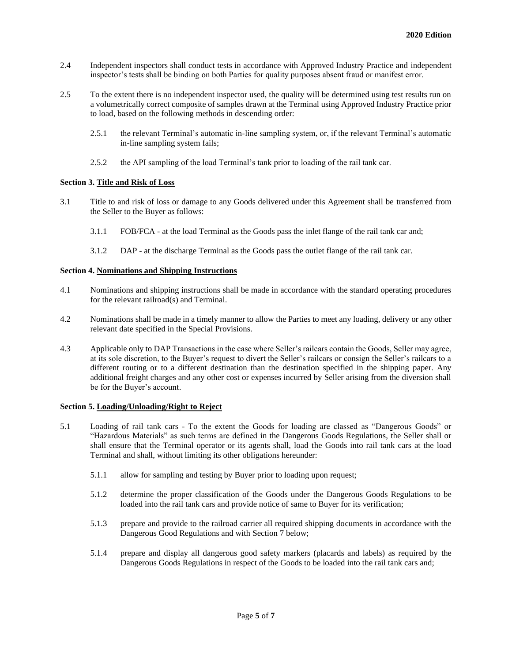- 2.4 Independent inspectors shall conduct tests in accordance with Approved Industry Practice and independent inspector's tests shall be binding on both Parties for quality purposes absent fraud or manifest error.
- 2.5 To the extent there is no independent inspector used, the quality will be determined using test results run on a volumetrically correct composite of samples drawn at the Terminal using Approved Industry Practice prior to load, based on the following methods in descending order:
	- 2.5.1 the relevant Terminal's automatic in-line sampling system, or, if the relevant Terminal's automatic in-line sampling system fails;
	- 2.5.2 the API sampling of the load Terminal's tank prior to loading of the rail tank car.

# **Section 3. Title and Risk of Loss**

- 3.1 Title to and risk of loss or damage to any Goods delivered under this Agreement shall be transferred from the Seller to the Buyer as follows:
	- 3.1.1 FOB/FCA at the load Terminal as the Goods pass the inlet flange of the rail tank car and;
	- 3.1.2 DAP at the discharge Terminal as the Goods pass the outlet flange of the rail tank car.

# **Section 4. Nominations and Shipping Instructions**

- 4.1 Nominations and shipping instructions shall be made in accordance with the standard operating procedures for the relevant railroad(s) and Terminal.
- 4.2 Nominations shall be made in a timely manner to allow the Parties to meet any loading, delivery or any other relevant date specified in the Special Provisions.
- 4.3 Applicable only to DAP Transactions in the case where Seller's railcars contain the Goods, Seller may agree, at its sole discretion, to the Buyer's request to divert the Seller's railcars or consign the Seller's railcars to a different routing or to a different destination than the destination specified in the shipping paper. Any additional freight charges and any other cost or expenses incurred by Seller arising from the diversion shall be for the Buyer's account.

# **Section 5. Loading/Unloading/Right to Reject**

- 5.1 Loading of rail tank cars To the extent the Goods for loading are classed as "Dangerous Goods" or "Hazardous Materials" as such terms are defined in the Dangerous Goods Regulations, the Seller shall or shall ensure that the Terminal operator or its agents shall, load the Goods into rail tank cars at the load Terminal and shall, without limiting its other obligations hereunder:
	- 5.1.1 allow for sampling and testing by Buyer prior to loading upon request;
	- 5.1.2 determine the proper classification of the Goods under the Dangerous Goods Regulations to be loaded into the rail tank cars and provide notice of same to Buyer for its verification;
	- 5.1.3 prepare and provide to the railroad carrier all required shipping documents in accordance with the Dangerous Good Regulations and with Section 7 below;
	- 5.1.4 prepare and display all dangerous good safety markers (placards and labels) as required by the Dangerous Goods Regulations in respect of the Goods to be loaded into the rail tank cars and;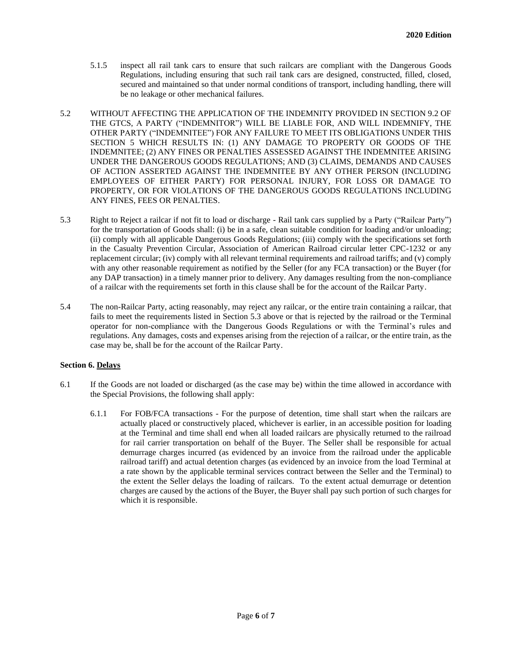- 5.1.5 inspect all rail tank cars to ensure that such railcars are compliant with the Dangerous Goods Regulations, including ensuring that such rail tank cars are designed, constructed, filled, closed, secured and maintained so that under normal conditions of transport, including handling, there will be no leakage or other mechanical failures.
- 5.2 WITHOUT AFFECTING THE APPLICATION OF THE INDEMNITY PROVIDED IN SECTION 9.2 OF THE GTCS, A PARTY ("INDEMNITOR") WILL BE LIABLE FOR, AND WILL INDEMNIFY, THE OTHER PARTY ("INDEMNITEE") FOR ANY FAILURE TO MEET ITS OBLIGATIONS UNDER THIS SECTION 5 WHICH RESULTS IN: (1) ANY DAMAGE TO PROPERTY OR GOODS OF THE INDEMNITEE; (2) ANY FINES OR PENALTIES ASSESSED AGAINST THE INDEMNITEE ARISING UNDER THE DANGEROUS GOODS REGULATIONS; AND (3) CLAIMS, DEMANDS AND CAUSES OF ACTION ASSERTED AGAINST THE INDEMNITEE BY ANY OTHER PERSON (INCLUDING EMPLOYEES OF EITHER PARTY) FOR PERSONAL INJURY, FOR LOSS OR DAMAGE TO PROPERTY, OR FOR VIOLATIONS OF THE DANGEROUS GOODS REGULATIONS INCLUDING ANY FINES, FEES OR PENALTIES.
- 5.3 Right to Reject a railcar if not fit to load or discharge Rail tank cars supplied by a Party ("Railcar Party") for the transportation of Goods shall: (i) be in a safe, clean suitable condition for loading and/or unloading; (ii) comply with all applicable Dangerous Goods Regulations; (iii) comply with the specifications set forth in the Casualty Prevention Circular, Association of American Railroad circular letter CPC-1232 or any replacement circular; (iv) comply with all relevant terminal requirements and railroad tariffs; and (v) comply with any other reasonable requirement as notified by the Seller (for any FCA transaction) or the Buyer (for any DAP transaction) in a timely manner prior to delivery. Any damages resulting from the non-compliance of a railcar with the requirements set forth in this clause shall be for the account of the Railcar Party.
- 5.4 The non-Railcar Party, acting reasonably, may reject any railcar, or the entire train containing a railcar, that fails to meet the requirements listed in Section 5.3 above or that is rejected by the railroad or the Terminal operator for non-compliance with the Dangerous Goods Regulations or with the Terminal's rules and regulations. Any damages, costs and expenses arising from the rejection of a railcar, or the entire train, as the case may be, shall be for the account of the Railcar Party.

# **Section 6. Delays**

- 6.1 If the Goods are not loaded or discharged (as the case may be) within the time allowed in accordance with the Special Provisions, the following shall apply:
	- 6.1.1 For FOB/FCA transactions For the purpose of detention, time shall start when the railcars are actually placed or constructively placed, whichever is earlier, in an accessible position for loading at the Terminal and time shall end when all loaded railcars are physically returned to the railroad for rail carrier transportation on behalf of the Buyer. The Seller shall be responsible for actual demurrage charges incurred (as evidenced by an invoice from the railroad under the applicable railroad tariff) and actual detention charges (as evidenced by an invoice from the load Terminal at a rate shown by the applicable terminal services contract between the Seller and the Terminal) to the extent the Seller delays the loading of railcars. To the extent actual demurrage or detention charges are caused by the actions of the Buyer, the Buyer shall pay such portion of such charges for which it is responsible.